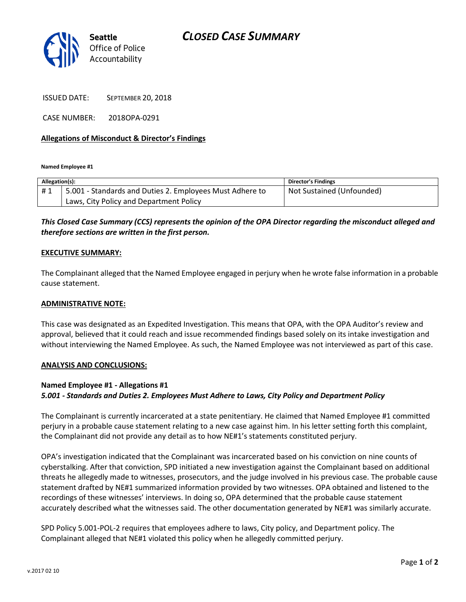# *CLOSED CASE SUMMARY*



ISSUED DATE: SEPTEMBER 20, 2018

CASE NUMBER: 2018OPA-0291

### **Allegations of Misconduct & Director's Findings**

**Named Employee #1**

| Allegation(s): |                                                          | <b>Director's Findings</b> |
|----------------|----------------------------------------------------------|----------------------------|
| #1             | 5.001 - Standards and Duties 2. Employees Must Adhere to | Not Sustained (Unfounded)  |
|                | Laws, City Policy and Department Policy                  |                            |

## *This Closed Case Summary (CCS) represents the opinion of the OPA Director regarding the misconduct alleged and therefore sections are written in the first person.*

### **EXECUTIVE SUMMARY:**

The Complainant alleged that the Named Employee engaged in perjury when he wrote false information in a probable cause statement.

#### **ADMINISTRATIVE NOTE:**

This case was designated as an Expedited Investigation. This means that OPA, with the OPA Auditor's review and approval, believed that it could reach and issue recommended findings based solely on its intake investigation and without interviewing the Named Employee. As such, the Named Employee was not interviewed as part of this case.

#### **ANALYSIS AND CONCLUSIONS:**

#### **Named Employee #1 - Allegations #1**

#### *5.001 - Standards and Duties 2. Employees Must Adhere to Laws, City Policy and Department Policy*

The Complainant is currently incarcerated at a state penitentiary. He claimed that Named Employee #1 committed perjury in a probable cause statement relating to a new case against him. In his letter setting forth this complaint, the Complainant did not provide any detail as to how NE#1's statements constituted perjury.

OPA's investigation indicated that the Complainant was incarcerated based on his conviction on nine counts of cyberstalking. After that conviction, SPD initiated a new investigation against the Complainant based on additional threats he allegedly made to witnesses, prosecutors, and the judge involved in his previous case. The probable cause statement drafted by NE#1 summarized information provided by two witnesses. OPA obtained and listened to the recordings of these witnesses' interviews. In doing so, OPA determined that the probable cause statement accurately described what the witnesses said. The other documentation generated by NE#1 was similarly accurate.

SPD Policy 5.001-POL-2 requires that employees adhere to laws, City policy, and Department policy. The Complainant alleged that NE#1 violated this policy when he allegedly committed perjury.